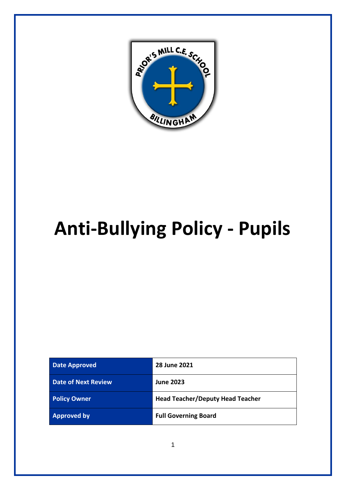

# **Anti-Bullying Policy - Pupils**

| <b>Date Approved</b>       | 28 June 2021                            |
|----------------------------|-----------------------------------------|
| <b>Date of Next Review</b> | <b>June 2023</b>                        |
| <b>Policy Owner</b>        | <b>Head Teacher/Deputy Head Teacher</b> |
| <b>Approved by</b>         | <b>Full Governing Board</b>             |

1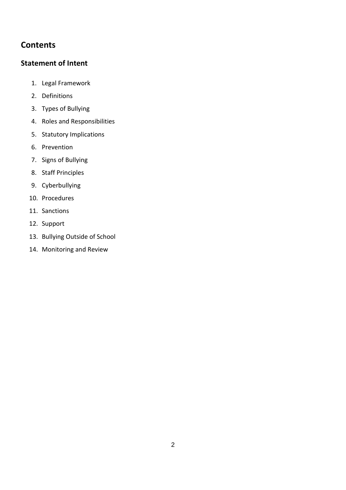# **Contents**

## **[Statement of Intent](#page-2-0)**

- 1. Legal Framework
- 2. Definitions
- 3. Types of Bullying
- 4. Roles and Responsibilities
- 5. Statutory Implications
- 6. Prevention
- 7. Signs of Bullying
- 8. Staff Principles
- 9. Cyberbullying
- 10. Procedures
- 11. Sanctions
- 12. Support
- 13. Bullying Outside of School
- 14. Monitoring and Review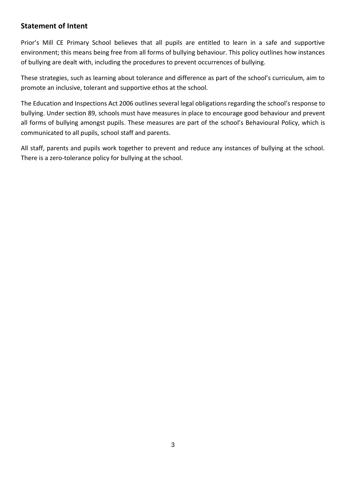# <span id="page-2-0"></span>**Statement of Intent**

Prior's Mill CE Primary School believes that all pupils are entitled to learn in a safe and supportive environment; this means being free from all forms of bullying behaviour. This policy outlines how instances of bullying are dealt with, including the procedures to prevent occurrences of bullying.

These strategies, such as learning about tolerance and difference as part of the school's curriculum, aim to promote an inclusive, tolerant and supportive ethos at the school.

The Education and Inspections Act 2006 outlines several legal obligations regarding the school's response to bullying. Under section 89, schools must have measures in place to encourage good behaviour and prevent all forms of bullying amongst pupils. These measures are part of the school's Behavioural Policy, which is communicated to all pupils, school staff and parents.

All staff, parents and pupils work together to prevent and reduce any instances of bullying at the school. There is a zero-tolerance policy for bullying at the school.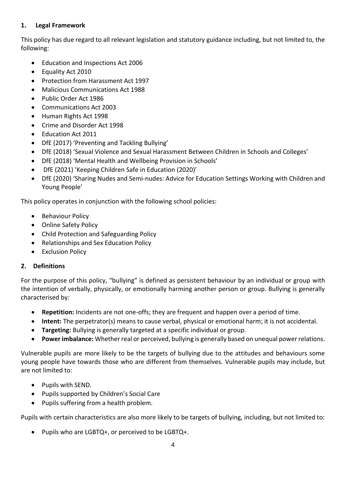#### **1. Legal Framework**

This policy has due regard to all relevant legislation and statutory guidance including, but not limited to, the following:

- Education and Inspections Act 2006
- Equality Act 2010
- Protection from Harassment Act 1997
- Malicious Communications Act 1988
- Public Order Act 1986
- Communications Act 2003
- Human Rights Act 1998
- Crime and Disorder Act 1998
- Education Act 2011
- DfE (2017) 'Preventing and Tackling Bullying'
- DfE (2018) 'Sexual Violence and Sexual Harassment Between Children in Schools and Colleges'
- DfE (2018) 'Mental Health and Wellbeing Provision in Schools'
- DfE (2021) 'Keeping Children Safe in Education (2020)'
- DfE (2020) 'Sharing Nudes and Semi-nudes: Advice for Education Settings Working with Children and Young People'

This policy operates in conjunction with the following school policies:

- Behaviour Policy
- Online Safety Policy
- Child Protection and Safeguarding Policy
- Relationships and Sex Education Policy
- Exclusion Policy

### **2. Definitions**

For the purpose of this policy, "bullying" is defined as persistent behaviour by an individual or group with the intention of verbally, physically, or emotionally harming another person or group. Bullying is generally characterised by:

- **Repetition:** Incidents are not one-offs; they are frequent and happen over a period of time.
- **Intent:** The perpetrator(s) means to cause verbal, physical or emotional harm; it is not accidental.
- **Targeting:** Bullying is generally targeted at a specific individual or group.
- **Power imbalance:** Whether real or perceived, bullying is generally based on unequal power relations.

Vulnerable pupils are more likely to be the targets of bullying due to the attitudes and behaviours some young people have towards those who are different from themselves. Vulnerable pupils may include, but are not limited to:

- Pupils with SEND.
- Pupils supported by Children's Social Care
- Pupils suffering from a health problem.

Pupils with certain characteristics are also more likely to be targets of bullying, including, but not limited to:

• Pupils who are LGBTQ+, or perceived to be LGBTQ+.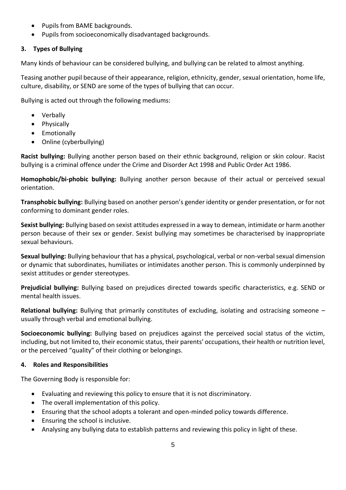- Pupils from BAME backgrounds.
- Pupils from socioeconomically disadvantaged backgrounds.

#### **3. Types of Bullying**

Many kinds of behaviour can be considered bullying, and bullying can be related to almost anything.

Teasing another pupil because of their appearance, religion, ethnicity, gender, sexual orientation, home life, culture, disability, or SEND are some of the types of bullying that can occur.

Bullying is acted out through the following mediums:

- Verbally
- Physically
- Emotionally
- Online (cyberbullying)

**Racist bullying:** Bullying another person based on their ethnic background, religion or skin colour. Racist bullying is a criminal offence under the Crime and Disorder Act 1998 and Public Order Act 1986.

**Homophobic/bi-phobic bullying:** Bullying another person because of their actual or perceived sexual orientation.

**Transphobic bullying:** Bullying based on another person's gender identity or gender presentation, or for not conforming to dominant gender roles.

**Sexist bullying:** Bullying based on sexist attitudes expressed in a way to demean, intimidate or harm another person because of their sex or gender. Sexist bullying may sometimes be characterised by inappropriate sexual behaviours.

**Sexual bullying:** Bullying behaviour that has a physical, psychological, verbal or non-verbal sexual dimension or dynamic that subordinates, humiliates or intimidates another person. This is commonly underpinned by sexist attitudes or gender stereotypes.

**Prejudicial bullying:** Bullying based on prejudices directed towards specific characteristics, e.g. SEND or mental health issues.

**Relational bullying:** Bullying that primarily constitutes of excluding, isolating and ostracising someone – usually through verbal and emotional bullying.

**Socioeconomic bullying:** Bullying based on prejudices against the perceived social status of the victim, including, but not limited to, their economic status, their parents' occupations, their health or nutrition level, or the perceived "quality" of their clothing or belongings.

#### **4. Roles and Responsibilities**

The Governing Body is responsible for:

- Evaluating and reviewing this policy to ensure that it is not discriminatory.
- The overall implementation of this policy.
- Ensuring that the school adopts a tolerant and open-minded policy towards difference.
- Ensuring the school is inclusive.
- Analysing any bullying data to establish patterns and reviewing this policy in light of these.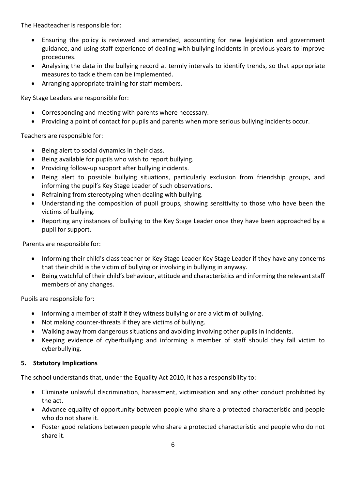The Headteacher is responsible for:

- Ensuring the policy is reviewed and amended, accounting for new legislation and government guidance, and using staff experience of dealing with bullying incidents in previous years to improve procedures.
- Analysing the data in the bullying record at termly intervals to identify trends, so that appropriate measures to tackle them can be implemented.
- Arranging appropriate training for staff members.

Key Stage Leaders are responsible for:

- Corresponding and meeting with parents where necessary.
- Providing a point of contact for pupils and parents when more serious bullying incidents occur.

Teachers are responsible for:

- Being alert to social dynamics in their class.
- Being available for pupils who wish to report bullying.
- Providing follow-up support after bullying incidents.
- Being alert to possible bullying situations, particularly exclusion from friendship groups, and informing the pupil's Key Stage Leader of such observations.
- Refraining from stereotyping when dealing with bullying.
- Understanding the composition of pupil groups, showing sensitivity to those who have been the victims of bullying.
- Reporting any instances of bullying to the Key Stage Leader once they have been approached by a pupil for support.

Parents are responsible for:

- Informing their child's class teacher or Key Stage Leader Key Stage Leader if they have any concerns that their child is the victim of bullying or involving in bullying in anyway.
- Being watchful of their child's behaviour, attitude and characteristics and informing the relevant staff members of any changes.

Pupils are responsible for:

- Informing a member of staff if they witness bullying or are a victim of bullying.
- Not making counter-threats if they are victims of bullying.
- Walking away from dangerous situations and avoiding involving other pupils in incidents.
- Keeping evidence of cyberbullying and informing a member of staff should they fall victim to cyberbullying.

#### **5. Statutory Implications**

The school understands that, under the Equality Act 2010, it has a responsibility to:

- Eliminate unlawful discrimination, harassment, victimisation and any other conduct prohibited by the act.
- Advance equality of opportunity between people who share a protected characteristic and people who do not share it.
- Foster good relations between people who share a protected characteristic and people who do not share it.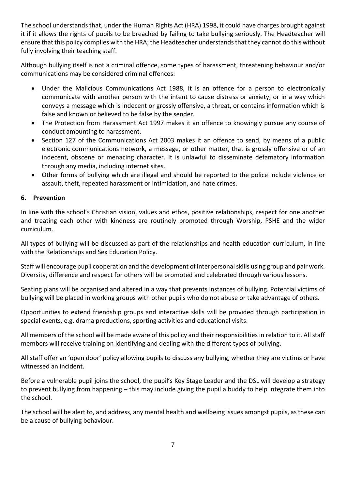The school understands that, under the Human Rights Act (HRA) 1998, it could have charges brought against it if it allows the rights of pupils to be breached by failing to take bullying seriously. The Headteacher will ensure that this policy complies with the HRA; the Headteacher understands that they cannot do this without fully involving their teaching staff.

Although bullying itself is not a criminal offence, some types of harassment, threatening behaviour and/or communications may be considered criminal offences:

- Under the Malicious Communications Act 1988, it is an offence for a person to electronically communicate with another person with the intent to cause distress or anxiety, or in a way which conveys a message which is indecent or grossly offensive, a threat, or contains information which is false and known or believed to be false by the sender.
- The Protection from Harassment Act 1997 makes it an offence to knowingly pursue any course of conduct amounting to harassment.
- Section 127 of the Communications Act 2003 makes it an offence to send, by means of a public electronic communications network, a message, or other matter, that is grossly offensive or of an indecent, obscene or menacing character. It is unlawful to disseminate defamatory information through any media, including internet sites.
- Other forms of bullying which are illegal and should be reported to the police include violence or assault, theft, repeated harassment or intimidation, and hate crimes.

#### **6. Prevention**

In line with the school's Christian vision, values and ethos, positive relationships, respect for one another and treating each other with kindness are routinely promoted through Worship, PSHE and the wider curriculum.

All types of bullying will be discussed as part of the relationships and health education curriculum, in line with the Relationships and Sex Education Policy.

Staff will encourage pupil cooperation and the development of interpersonal skills using group and pair work. Diversity, difference and respect for others will be promoted and celebrated through various lessons.

Seating plans will be organised and altered in a way that prevents instances of bullying. Potential victims of bullying will be placed in working groups with other pupils who do not abuse or take advantage of others.

Opportunities to extend friendship groups and interactive skills will be provided through participation in special events, e.g. drama productions, sporting activities and educational visits.

All members of the school will be made aware of this policy and their responsibilities in relation to it. All staff members will receive training on identifying and dealing with the different types of bullying.

All staff offer an 'open door' policy allowing pupils to discuss any bullying, whether they are victims or have witnessed an incident.

Before a vulnerable pupil joins the school, the pupil's Key Stage Leader and the DSL will develop a strategy to prevent bullying from happening – this may include giving the pupil a buddy to help integrate them into the school.

The school will be alert to, and address, any mental health and wellbeing issues amongst pupils, as these can be a cause of bullying behaviour.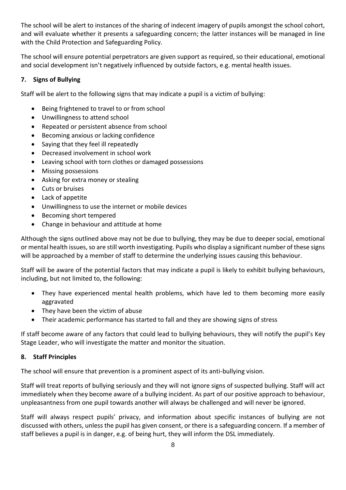The school will be alert to instances of the sharing of indecent imagery of pupils amongst the school cohort, and will evaluate whether it presents a safeguarding concern; the latter instances will be managed in line with the Child Protection and Safeguarding Policy.

The school will ensure potential perpetrators are given support as required, so their educational, emotional and social development isn't negatively influenced by outside factors, e.g. mental health issues.

#### **7. Signs of Bullying**

Staff will be alert to the following signs that may indicate a pupil is a victim of bullying:

- Being frightened to travel to or from school
- Unwillingness to attend school
- Repeated or persistent absence from school
- Becoming anxious or lacking confidence
- Saying that they feel ill repeatedly
- Decreased involvement in school work
- Leaving school with torn clothes or damaged possessions
- Missing possessions
- Asking for extra money or stealing
- Cuts or bruises
- Lack of appetite
- Unwillingness to use the internet or mobile devices
- Becoming short tempered
- Change in behaviour and attitude at home

Although the signs outlined above may not be due to bullying, they may be due to deeper social, emotional or mental health issues, so are still worth investigating. Pupils who display a significant number of these signs will be approached by a member of staff to determine the underlying issues causing this behaviour.

Staff will be aware of the potential factors that may indicate a pupil is likely to exhibit bullying behaviours, including, but not limited to, the following:

- They have experienced mental health problems, which have led to them becoming more easily aggravated
- They have been the victim of abuse
- Their academic performance has started to fall and they are showing signs of stress

If staff become aware of any factors that could lead to bullying behaviours, they will notify the pupil's Key Stage Leader, who will investigate the matter and monitor the situation.

#### **8. Staff Principles**

The school will ensure that prevention is a prominent aspect of its anti-bullying vision.

Staff will treat reports of bullying seriously and they will not ignore signs of suspected bullying. Staff will act immediately when they become aware of a bullying incident. As part of our positive approach to behaviour, unpleasantness from one pupil towards another will always be challenged and will never be ignored.

Staff will always respect pupils' privacy, and information about specific instances of bullying are not discussed with others, unless the pupil has given consent, or there is a safeguarding concern. If a member of staff believes a pupil is in danger, e.g. of being hurt, they will inform the DSL immediately.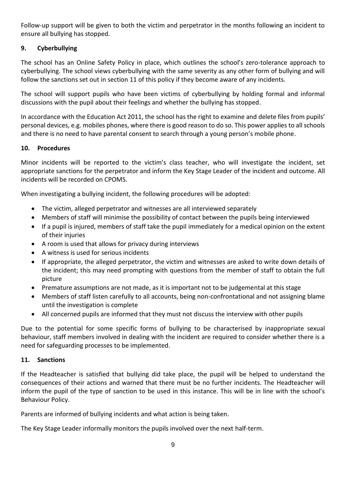Follow-up support will be given to both the victim and perpetrator in the months following an incident to ensure all bullying has stopped.

#### **9. Cyberbullying**

The school has an Online Safety Policy in place, which outlines the school's zero-tolerance approach to cyberbullying. The school views cyberbullying with the same severity as any other form of bullying and will follow the sanctions set out in section 11 of this policy if they become aware of any incidents.

The school will support pupils who have been victims of cyberbullying by holding formal and informal discussions with the pupil about their feelings and whether the bullying has stopped.

In accordance with the Education Act 2011, the school has the right to examine and delete files from pupils' personal devices, e.g. mobiles phones, where there is good reason to do so. This power applies to all schools and there is no need to have parental consent to search through a young person's mobile phone.

#### **10. Procedures**

Minor incidents will be reported to the victim's class teacher, who will investigate the incident, set appropriate sanctions for the perpetrator and inform the Key Stage Leader of the incident and outcome. All incidents will be recorded on CPOMS.

When investigating a bullying incident, the following procedures will be adopted:

- The victim, alleged perpetrator and witnesses are all interviewed separately
- Members of staff will minimise the possibility of contact between the pupils being interviewed
- If a pupil is injured, members of staff take the pupil immediately for a medical opinion on the extent of their injuries
- A room is used that allows for privacy during interviews
- A witness is used for serious incidents
- If appropriate, the alleged perpetrator, the victim and witnesses are asked to write down details of the incident; this may need prompting with questions from the member of staff to obtain the full picture
- Premature assumptions are not made, as it is important not to be judgemental at this stage
- Members of staff listen carefully to all accounts, being non-confrontational and not assigning blame until the investigation is complete
- All concerned pupils are informed that they must not discuss the interview with other pupils

Due to the potential for some specific forms of bullying to be characterised by inappropriate sexual behaviour, staff members involved in dealing with the incident are required to consider whether there is a need for safeguarding processes to be implemented.

#### **11. Sanctions**

If the Headteacher is satisfied that bullying did take place, the pupil will be helped to understand the consequences of their actions and warned that there must be no further incidents. The Headteacher will inform the pupil of the type of sanction to be used in this instance. This will be in line with the school's Behaviour Policy.

Parents are informed of bullying incidents and what action is being taken.

The Key Stage Leader informally monitors the pupils involved over the next half-term.